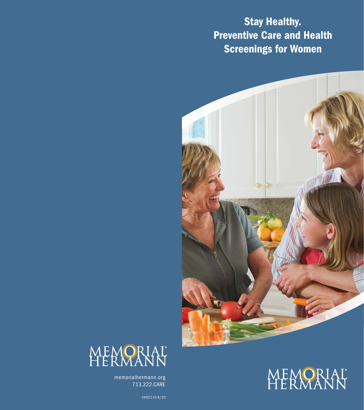Stay Healthy. **Preventive Care and Health** Screenings for Women







memorialhermann.org 713.222.CARE

4402110-5/20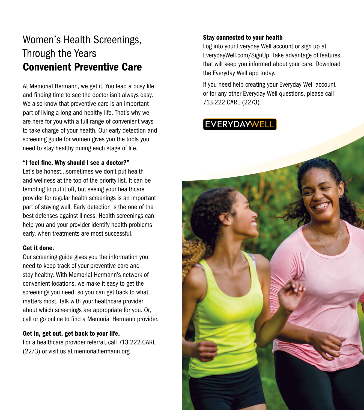## Women's Health Screenings, Through the Years Convenient Preventive Care

At Memorial Hermann, we get it. You lead a busy life, and finding time to see the doctor isn't always easy. We also know that preventive care is an important part of living a long and healthy life. That's why we are here for you with a full range of convenient ways to take charge of your health. Our early detection and screening guide for women gives you the tools you need to stay healthy during each stage of life.

### "I feel fine. Why should I see a doctor?"

Let's be honest…sometimes we don't put health and wellness at the top of the priority list. It can be tempting to put it off, but seeing your healthcare provider for regular health screenings is an important part of staying well. Early detection is the one of the best defenses against illness. Health screenings can help you and your provider identify health problems early, when treatments are most successful.

#### Get it done.

Our screening guide gives you the information you need to keep track of your preventive care and stay healthy. With Memorial Hermann's network of convenient locations, we make it easy to get the screenings you need, so you can get back to what matters most. Talk with your healthcare provider about which screenings are appropriate for you. Or, call or go online to find a Memorial Hermann provider.

### Get in, get out, get back to your life.

For a healthcare provider referral, call 713.222.CARE (2273) or visit us at memorialhermann.org

### Stay connected to your health

Log into your Everyday Well account or sign up at EverydayWell.com/SignUp. Take advantage of features that will keep you informed about your care. Download the Everyday Well app today.

If you need help creating your Everyday Well account or for any other Everyday Well questions, please call 713.222.CARE (2273).

### **EVERYDAYWEL**

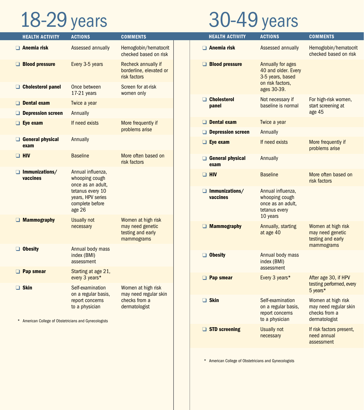# 18-29 years

## 30-49 years

| <b>HEALTH ACTIVITY</b>                                | <b>ACTIONS</b>                                                                                 | <b>COMMENTS</b>                                                               | <b>HEALTH ACTIVITY</b>            | <b>ACTIONS</b>                                                                        | <b>COMMENTS</b>                                                               |
|-------------------------------------------------------|------------------------------------------------------------------------------------------------|-------------------------------------------------------------------------------|-----------------------------------|---------------------------------------------------------------------------------------|-------------------------------------------------------------------------------|
| $\Box$ Anemia risk                                    | Assessed annually                                                                              | Hemoglobin/hematocrit<br>checked based on risk                                | $\Box$ Anemia risk                | Assessed annually                                                                     | Hemoglobin/hematocrit<br>checked based on risk                                |
| <b>Blood pressure</b>                                 | Every 3-5 years                                                                                | Recheck annually if<br>borderline, elevated or<br>risk factors                | <b>Blood pressure</b>             | Annually for ages<br>40 and older. Every<br>3-5 years, based                          |                                                                               |
| <b>Cholesterol panel</b>                              | Once between<br>17-21 years                                                                    | Screen for at-risk<br>women only                                              |                                   | on risk factors,<br>ages 30-39.                                                       |                                                                               |
| $\Box$ Dental exam                                    | Twice a year                                                                                   |                                                                               | $\Box$ Cholesterol<br>panel       | Not necessary if<br>baseline is normal                                                | For high-risk women,<br>start screening at                                    |
| <b>Depression screen</b>                              | Annually                                                                                       |                                                                               |                                   |                                                                                       | age 45                                                                        |
| $\Box$ Eye exam                                       | If need exists                                                                                 | More frequently if                                                            | $\Box$ Dental exam                | Twice a year                                                                          |                                                                               |
|                                                       |                                                                                                | problems arise                                                                | <b>Depression screen</b>          | Annually                                                                              |                                                                               |
| General physical<br>exam                              | Annually                                                                                       |                                                                               | $\Box$ Eye exam                   | If need exists                                                                        | More frequently if<br>problems arise                                          |
| $\Box$ HIV                                            | <b>Baseline</b>                                                                                | More often based on<br>risk factors                                           | General physical<br>exam          | Annually                                                                              |                                                                               |
| $\Box$ Immunizations/<br>vaccines                     | Annual influenza,<br>whooping cough<br>once as an adult,                                       |                                                                               | $\Box$ HIV                        | <b>Baseline</b>                                                                       | More often based on<br>risk factors                                           |
|                                                       | tetanus every 10<br>years, HPV series<br>complete before<br>age 26                             |                                                                               | $\Box$ Immunizations/<br>vaccines | Annual influenza,<br>whooping cough<br>once as an adult,<br>tetanus every<br>10 years |                                                                               |
| $\Box$ Mammography                                    | Usually not<br>necessary                                                                       | Women at high risk<br>may need genetic<br>testing and early<br>mammograms     | <b>Mammography</b>                | Annually, starting<br>at age 40                                                       | Women at high risk<br>may need genetic<br>testing and early                   |
| $\Box$ Obesity                                        | Annual body mass<br>index (BMI)<br>assessment                                                  |                                                                               | $\Box$ Obesity                    | Annual body mass<br>index (BMI)                                                       | mammograms                                                                    |
| $\Box$ Pap smear                                      | Starting at age 21,                                                                            |                                                                               |                                   | assessment                                                                            |                                                                               |
| $\Box$ Skin                                           | every 3 years*<br>Self-examination<br>on a regular basis,<br>report concerns<br>to a physician | Women at high risk<br>may need regular skin<br>checks from a<br>dermatologist | $\Box$ Pap smear                  | Every 3 years*                                                                        | After age 30, if HPV<br>testing performed, every<br>5 years*                  |
|                                                       |                                                                                                |                                                                               | $\Box$ Skin                       | Self-examination<br>on a regular basis,<br>report concerns<br>to a physician          | Women at high risk<br>may need regular skin<br>checks from a<br>dermatologist |
| * American College of Obstetricians and Gynecologists |                                                                                                |                                                                               | $\Box$ STD screening              | <b>Usually not</b>                                                                    | If risk factors present,                                                      |

\* American College of Obstetricians and Gynecologists

necessary need annual

assessment